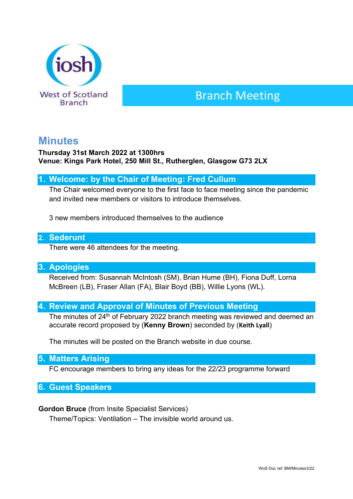

# Branch Meeting

# **Minutes**

#### **Thursday 31st March 2022 at 1300hrs Venue: Kings Park Hotel, 250 Mill St., Rutherglen, Glasgow G73 2LX**

## **1. Welcome: by the Chair of Meeting: Fred Cullum**

The Chair welcomed everyone to the first face to face meeting since the pandemic and invited new members or visitors to introduce themselves.

3 new members introduced themselves to the audience

#### **2. Sederunt**

There were 46 attendees for the meeting.

#### **3. Apologies**

Received from: Susannah McIntosh (SM), Brian Hume (BH), Fiona Duff, Lorna McBreen (LB), Fraser Allan (FA), Blair Boyd (BB), Willie Lyons (WL).

## **4. Review and Approval of Minutes of Previous Meeting**

The minutes of 24<sup>th</sup> of February 2022 branch meeting was reviewed and deemed an accurate record proposed by (**Kenny Brown**) seconded by (**Keith Lyall**)

The minutes will be posted on the Branch website in due course.

#### **5. Matters Arising**

FC encourage members to bring any ideas for the 22/23 programme forward

**6. Guest Speakers**

#### **Gordon Bruce** (from Insite Specialist Services)

Theme/Topics: Ventilation – The invisible world around us.